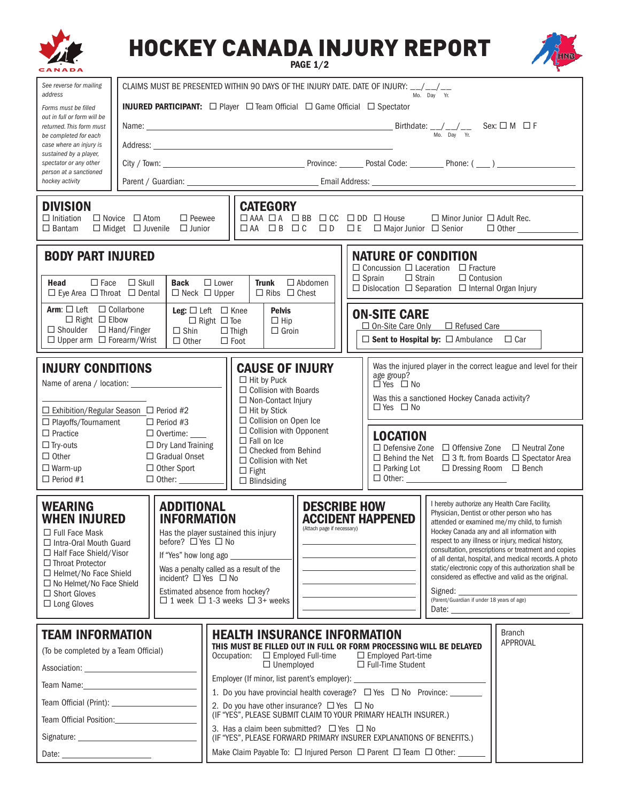|                                                                                                                                                                                   |                                                                                                                                                                                                                                                                        |                                                                                                 |                                                                                                                                                                                                                                                                                                                                                                                                                 |                                                                                                                                                                                                           |                                                                     | <b>HOCKEY CANADA INJURY REPORT</b>                                                                                                                               |  | <b>PAGE 1/2</b>                                                                                                                                                                                                                                                                                                                                                       |  |  |                                                              |  |                                                                                                                                                                                                                                                                                                                                                                                                                                                                                                                                                                                        |  |                                                                                                                                         |
|-----------------------------------------------------------------------------------------------------------------------------------------------------------------------------------|------------------------------------------------------------------------------------------------------------------------------------------------------------------------------------------------------------------------------------------------------------------------|-------------------------------------------------------------------------------------------------|-----------------------------------------------------------------------------------------------------------------------------------------------------------------------------------------------------------------------------------------------------------------------------------------------------------------------------------------------------------------------------------------------------------------|-----------------------------------------------------------------------------------------------------------------------------------------------------------------------------------------------------------|---------------------------------------------------------------------|------------------------------------------------------------------------------------------------------------------------------------------------------------------|--|-----------------------------------------------------------------------------------------------------------------------------------------------------------------------------------------------------------------------------------------------------------------------------------------------------------------------------------------------------------------------|--|--|--------------------------------------------------------------|--|----------------------------------------------------------------------------------------------------------------------------------------------------------------------------------------------------------------------------------------------------------------------------------------------------------------------------------------------------------------------------------------------------------------------------------------------------------------------------------------------------------------------------------------------------------------------------------------|--|-----------------------------------------------------------------------------------------------------------------------------------------|
| See reverse for mailing                                                                                                                                                           | CLAIMS MUST BE PRESENTED WITHIN 90 DAYS OF THE INJURY DATE. DATE OF INJURY: __/__/__                                                                                                                                                                                   |                                                                                                 |                                                                                                                                                                                                                                                                                                                                                                                                                 |                                                                                                                                                                                                           |                                                                     |                                                                                                                                                                  |  |                                                                                                                                                                                                                                                                                                                                                                       |  |  |                                                              |  |                                                                                                                                                                                                                                                                                                                                                                                                                                                                                                                                                                                        |  |                                                                                                                                         |
| address<br>Forms must be filled                                                                                                                                                   |                                                                                                                                                                                                                                                                        | Mo. Day Yr.<br><b>INJURED PARTICIPANT:</b> □ Player □ Team Official □ Game Official □ Spectator |                                                                                                                                                                                                                                                                                                                                                                                                                 |                                                                                                                                                                                                           |                                                                     |                                                                                                                                                                  |  |                                                                                                                                                                                                                                                                                                                                                                       |  |  |                                                              |  |                                                                                                                                                                                                                                                                                                                                                                                                                                                                                                                                                                                        |  |                                                                                                                                         |
| out in full or form will be<br>returned. This form must                                                                                                                           |                                                                                                                                                                                                                                                                        |                                                                                                 |                                                                                                                                                                                                                                                                                                                                                                                                                 |                                                                                                                                                                                                           |                                                                     |                                                                                                                                                                  |  |                                                                                                                                                                                                                                                                                                                                                                       |  |  |                                                              |  |                                                                                                                                                                                                                                                                                                                                                                                                                                                                                                                                                                                        |  |                                                                                                                                         |
| be completed for each<br>case where an injury is                                                                                                                                  |                                                                                                                                                                                                                                                                        |                                                                                                 |                                                                                                                                                                                                                                                                                                                                                                                                                 |                                                                                                                                                                                                           |                                                                     | Name: $\frac{1}{M_0}$ Sex: $\Box$ M $\Box$ F                                                                                                                     |  |                                                                                                                                                                                                                                                                                                                                                                       |  |  |                                                              |  |                                                                                                                                                                                                                                                                                                                                                                                                                                                                                                                                                                                        |  |                                                                                                                                         |
| sustained by a player,<br>spectator or any other                                                                                                                                  |                                                                                                                                                                                                                                                                        |                                                                                                 |                                                                                                                                                                                                                                                                                                                                                                                                                 |                                                                                                                                                                                                           |                                                                     |                                                                                                                                                                  |  |                                                                                                                                                                                                                                                                                                                                                                       |  |  |                                                              |  |                                                                                                                                                                                                                                                                                                                                                                                                                                                                                                                                                                                        |  | City / Town: Province: Province: Province: Postal Code: Phone: ( ___ ) __________                                                       |
| person at a sanctioned<br>hockey activity                                                                                                                                         |                                                                                                                                                                                                                                                                        |                                                                                                 |                                                                                                                                                                                                                                                                                                                                                                                                                 |                                                                                                                                                                                                           |                                                                     |                                                                                                                                                                  |  |                                                                                                                                                                                                                                                                                                                                                                       |  |  |                                                              |  |                                                                                                                                                                                                                                                                                                                                                                                                                                                                                                                                                                                        |  |                                                                                                                                         |
| <b>DIVISION</b><br>$\Box$ Initiation<br>$\Box$ Novice $\Box$ Atom<br>$\Box$ Bantam<br>$\Box$ Midget $\Box$ Juvenile                                                               |                                                                                                                                                                                                                                                                        |                                                                                                 | $\Box$ Peewee<br>$\Box$ Junior                                                                                                                                                                                                                                                                                                                                                                                  |                                                                                                                                                                                                           |                                                                     | <b>CATEGORY</b>                                                                                                                                                  |  |                                                                                                                                                                                                                                                                                                                                                                       |  |  |                                                              |  | $\Box$ Minor Junior $\Box$ Adult Rec.                                                                                                                                                                                                                                                                                                                                                                                                                                                                                                                                                  |  | □AA □B □C □D □E □Major Junior □ Senior · □ Other ___________                                                                            |
| <b>BODY PART INJURED</b><br>Head<br>$\Box$ Face<br>$\Box$ Eye Area $\Box$ Throat $\Box$ Dental                                                                                    | $\Box$ Skull                                                                                                                                                                                                                                                           |                                                                                                 | Back<br>$\Box$ Neck $\Box$ Upper                                                                                                                                                                                                                                                                                                                                                                                | $\Box$ Lower                                                                                                                                                                                              |                                                                     | <b>Trunk</b><br>$\Box$ Ribs $\Box$ Chest                                                                                                                         |  | $\Box$ Abdomen                                                                                                                                                                                                                                                                                                                                                        |  |  | <b>NATURE OF CONDITION</b><br>$\Box$ Strain<br>$\Box$ Sprain |  | $\Box$ Concussion $\Box$ Laceration $\Box$ Fracture<br>$\Box$ Contusion<br>$\Box$ Dislocation $\Box$ Separation $\Box$ Internal Organ Injury                                                                                                                                                                                                                                                                                                                                                                                                                                           |  |                                                                                                                                         |
| Arm: $\Box$ Left $\Box$ Collarbone<br>$\Box$ Right $\Box$ Elbow<br>$\Box$ Shoulder $\Box$ Hand/Finger<br>$\Box$ Upper arm $\Box$ Forearm/Wrist                                    |                                                                                                                                                                                                                                                                        |                                                                                                 | Leg: $\Box$ Left $\Box$ Knee<br>$\Box$ Right $\Box$ Toe<br>$\Box$ Shin<br>$\Box$ Other                                                                                                                                                                                                                                                                                                                          |                                                                                                                                                                                                           |                                                                     | <b>Pelvis</b><br>$\Box$ Hip<br>$\Box$ Groin<br>$\Box$ Thigh<br>$\Box$ Foot                                                                                       |  |                                                                                                                                                                                                                                                                                                                                                                       |  |  | <b>ON-SITE CARE</b>                                          |  | $\Box$ On-Site Care Only $\Box$ Refused Care<br>$\Box$ Sent to Hospital by: $\Box$ Ambulance $\Box$ Car                                                                                                                                                                                                                                                                                                                                                                                                                                                                                |  |                                                                                                                                         |
| <b>INJURY CONDITIONS</b><br>Name of arena / location:<br>$\Box$ Exhibition/Regular Season $\Box$ Period #2<br>□ Playoffs/Tournament                                               |                                                                                                                                                                                                                                                                        |                                                                                                 | $\Box$ Period #3                                                                                                                                                                                                                                                                                                                                                                                                |                                                                                                                                                                                                           |                                                                     | <b>CAUSE OF INJURY</b><br>$\Box$ Hit by Puck<br>$\Box$ Collision with Boards<br>$\Box$ Non-Contact Injury<br>$\Box$ Hit by Stick<br>$\Box$ Collision on Open Ice |  |                                                                                                                                                                                                                                                                                                                                                                       |  |  | age group?<br>DYes D No<br>$\Box$ Yes $\Box$ No              |  | Was this a sanctioned Hockey Canada activity?                                                                                                                                                                                                                                                                                                                                                                                                                                                                                                                                          |  | Was the injured player in the correct league and level for their                                                                        |
| $\Box$ Practice<br>$\Box$ Try-outs<br>$\Box$ Other<br>$\Box$ Warm-up<br>$\Box$ Period #1                                                                                          |                                                                                                                                                                                                                                                                        |                                                                                                 | $\Box$ Overtime: $\_\_$<br>$\Box$ Dry Land Training<br>$\Box$ Gradual Onset<br>$\Box$ Other Sport                                                                                                                                                                                                                                                                                                               |                                                                                                                                                                                                           |                                                                     | □ Collision with Opponent<br>$\Box$ Fall on Ice<br>$\Box$ Checked from Behind<br>$\Box$ Collision with Net<br>$\Box$ Fight<br>$\Box$ Blindsiding                 |  |                                                                                                                                                                                                                                                                                                                                                                       |  |  | <b>LOCATION</b><br>$\Box$ Parking Lot                        |  | $\Box$ Dressing Room $\Box$ Bench<br>$\Box$ Other:                                                                                                                                                                                                                                                                                                                                                                                                                                                                                                                                     |  | $\Box$ Defensive Zone $\Box$ Offensive Zone $\Box$ Neutral Zone<br>$\Box$ Behind the Net $\Box$ 3 ft. from Boards $\Box$ Spectator Area |
| <b>WEARING</b><br>$\Box$ Full Face Mask<br>$\Box$ Throat Protector<br>$\Box$ Short Gloves<br>$\Box$ Long Gloves                                                                   | <b>ADDITIONAL</b><br><b>INFORMATION</b><br><b>WHEN INJURED</b><br>before? $\square$ Yes $\square$ No<br>$\Box$ Intra-Oral Mouth Guard<br>$\Box$ Half Face Shield/Visor<br>$\Box$ Helmet/No Face Shield<br>incident? $\Box$ Yes $\Box$ No<br>□ No Helmet/No Face Shield |                                                                                                 |                                                                                                                                                                                                                                                                                                                                                                                                                 | Has the player sustained this injury<br>If "Yes" how long ago ____________<br>Was a penalty called as a result of the<br>Estimated absence from hockey?<br>$\Box$ 1 week $\Box$ 1-3 weeks $\Box$ 3+ weeks |                                                                     |                                                                                                                                                                  |  | <b>DESCRIBE HOW</b><br><b>ACCIDENT HAPPENED</b><br>(Attach page if necessary)<br><u>and the company of the company of the company of the company of the company of the company of the company of the company of the company of the company of the company of the company of the company of the company of the com</u><br>the control of the control of the control of |  |  |                                                              |  | I hereby authorize any Health Care Facility,<br>Physician, Dentist or other person who has<br>attended or examined me/my child, to furnish<br>Hockey Canada any and all information with<br>respect to any illness or injury, medical history,<br>consultation, prescriptions or treatment and copies<br>of all dental, hospital, and medical records. A photo<br>static/electronic copy of this authorization shall be<br>considered as effective and valid as the original.<br>Signed:<br>(Parent/Guardian if under 18 years of age)<br>Date: <u>_______________________________</u> |  |                                                                                                                                         |
| <b>TEAM INFORMATION</b><br>(To be completed by a Team Official)<br>Team Name: The Contract of the Contract of the Contract of the Contract of the Contract of the Contract of the |                                                                                                                                                                                                                                                                        |                                                                                                 | <b>Branch</b><br><b>HEALTH INSURANCE INFORMATION</b><br><b>APPROVAL</b><br>THIS MUST BE FILLED OUT IN FULL OR FORM PROCESSING WILL BE DELAYED<br>Occupation: $\Box$ Employed Full-time<br>□ Employed Part-time<br>$\Box$ Unemployed<br>□ Full-Time Student<br>Employer (If minor, list parent's employer): _______________<br>1. Do you have provincial health coverage? $\Box$ Yes $\Box$ No Province: _______ |                                                                                                                                                                                                           |                                                                     |                                                                                                                                                                  |  |                                                                                                                                                                                                                                                                                                                                                                       |  |  |                                                              |  |                                                                                                                                                                                                                                                                                                                                                                                                                                                                                                                                                                                        |  |                                                                                                                                         |
|                                                                                                                                                                                   |                                                                                                                                                                                                                                                                        |                                                                                                 | 2. Do you have other insurance? □ Yes □ No                                                                                                                                                                                                                                                                                                                                                                      |                                                                                                                                                                                                           |                                                                     |                                                                                                                                                                  |  |                                                                                                                                                                                                                                                                                                                                                                       |  |  |                                                              |  |                                                                                                                                                                                                                                                                                                                                                                                                                                                                                                                                                                                        |  |                                                                                                                                         |
| Team Official Position: 1997 1998                                                                                                                                                 |                                                                                                                                                                                                                                                                        |                                                                                                 | (IF "YES", PLEASE SUBMIT CLAIM TO YOUR PRIMARY HEALTH INSURER.)<br>3. Has a claim been submitted? $\Box$ Yes $\Box$ No                                                                                                                                                                                                                                                                                          |                                                                                                                                                                                                           |                                                                     |                                                                                                                                                                  |  |                                                                                                                                                                                                                                                                                                                                                                       |  |  |                                                              |  |                                                                                                                                                                                                                                                                                                                                                                                                                                                                                                                                                                                        |  |                                                                                                                                         |
|                                                                                                                                                                                   |                                                                                                                                                                                                                                                                        |                                                                                                 |                                                                                                                                                                                                                                                                                                                                                                                                                 |                                                                                                                                                                                                           |                                                                     | (IF "YES", PLEASE FORWARD PRIMARY INSURER EXPLANATIONS OF BENEFITS.)                                                                                             |  |                                                                                                                                                                                                                                                                                                                                                                       |  |  |                                                              |  |                                                                                                                                                                                                                                                                                                                                                                                                                                                                                                                                                                                        |  |                                                                                                                                         |
| Date: <u>Date: Experience</u>                                                                                                                                                     |                                                                                                                                                                                                                                                                        |                                                                                                 |                                                                                                                                                                                                                                                                                                                                                                                                                 |                                                                                                                                                                                                           | Make Claim Payable To: □ Injured Person □ Parent □ Team □ Other: __ |                                                                                                                                                                  |  |                                                                                                                                                                                                                                                                                                                                                                       |  |  |                                                              |  |                                                                                                                                                                                                                                                                                                                                                                                                                                                                                                                                                                                        |  |                                                                                                                                         |